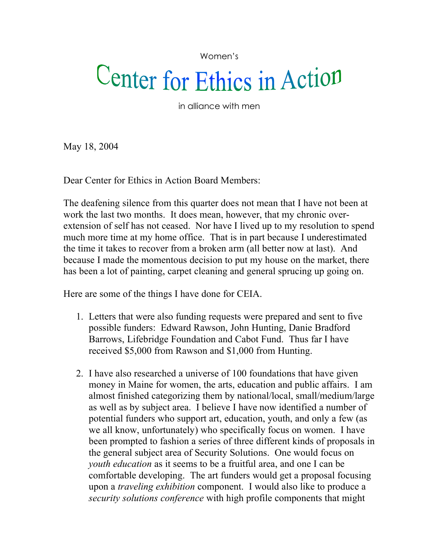Women's

## Center for Ethics in Action

in alliance with men

May 18, 2004

Dear Center for Ethics in Action Board Members:

The deafening silence from this quarter does not mean that I have not been at work the last two months. It does mean, however, that my chronic overextension of self has not ceased. Nor have I lived up to my resolution to spend much more time at my home office. That is in part because I underestimated the time it takes to recover from a broken arm (all better now at last). And because I made the momentous decision to put my house on the market, there has been a lot of painting, carpet cleaning and general sprucing up going on.

Here are some of the things I have done for CEIA.

- 1. Letters that were also funding requests were prepared and sent to five possible funders: Edward Rawson, John Hunting, Danie Bradford Barrows, Lifebridge Foundation and Cabot Fund. Thus far I have received \$5,000 from Rawson and \$1,000 from Hunting.
- 2. I have also researched a universe of 100 foundations that have given money in Maine for women, the arts, education and public affairs. I am almost finished categorizing them by national/local, small/medium/large as well as by subject area. I believe I have now identified a number of potential funders who support art, education, youth, and only a few (as we all know, unfortunately) who specifically focus on women. I have been prompted to fashion a series of three different kinds of proposals in the general subject area of Security Solutions. One would focus on *youth education* as it seems to be a fruitful area, and one I can be comfortable developing. The art funders would get a proposal focusing upon a *traveling exhibition* component. I would also like to produce a *security solutions conference* with high profile components that might